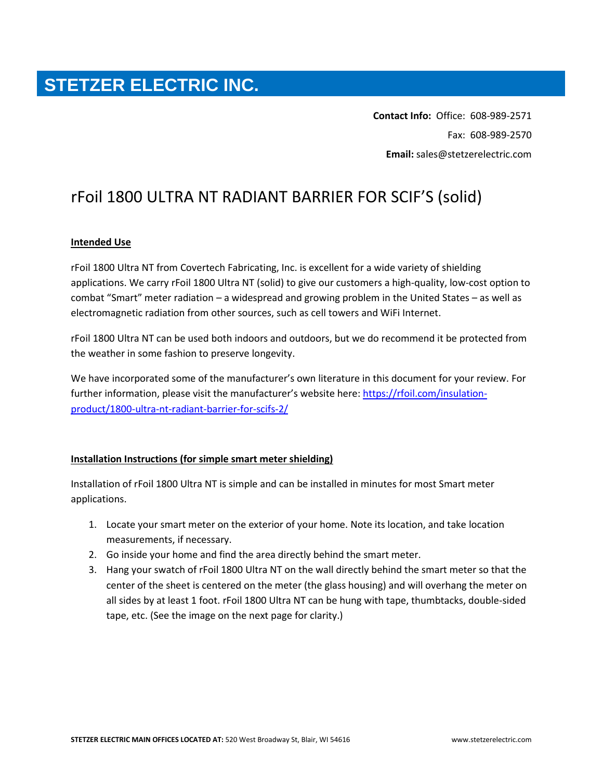## **STETZER ELECTRIC INC.**

**Contact Info:** Office: 608-989-2571 Fax: 608-989-2570 **Email:** sales@stetzerelectric.com

## rFoil 1800 ULTRA NT RADIANT BARRIER FOR SCIF'S (solid)

## **Intended Use**

rFoil 1800 Ultra NT from Covertech Fabricating, Inc. is excellent for a wide variety of shielding applications. We carry rFoil 1800 Ultra NT (solid) to give our customers a high-quality, low-cost option to combat "Smart" meter radiation – a widespread and growing problem in the United States – as well as electromagnetic radiation from other sources, such as cell towers and WiFi Internet.

rFoil 1800 Ultra NT can be used both indoors and outdoors, but we do recommend it be protected from the weather in some fashion to preserve longevity.

We have incorporated some of the manufacturer's own literature in this document for your review. For further information, please visit the manufacturer's website here[: https://rfoil.com/insulation](https://rfoil.com/insulation-product/1800-ultra-nt-radiant-barrier-for-scifs-2/)[product/1800-ultra-nt-radiant-barrier-for-scifs-2/](https://rfoil.com/insulation-product/1800-ultra-nt-radiant-barrier-for-scifs-2/)

## **Installation Instructions (for simple smart meter shielding)**

Installation of rFoil 1800 Ultra NT is simple and can be installed in minutes for most Smart meter applications.

- 1. Locate your smart meter on the exterior of your home. Note its location, and take location measurements, if necessary.
- 2. Go inside your home and find the area directly behind the smart meter.
- 3. Hang your swatch of rFoil 1800 Ultra NT on the wall directly behind the smart meter so that the center of the sheet is centered on the meter (the glass housing) and will overhang the meter on all sides by at least 1 foot. rFoil 1800 Ultra NT can be hung with tape, thumbtacks, double-sided tape, etc. (See the image on the next page for clarity.)